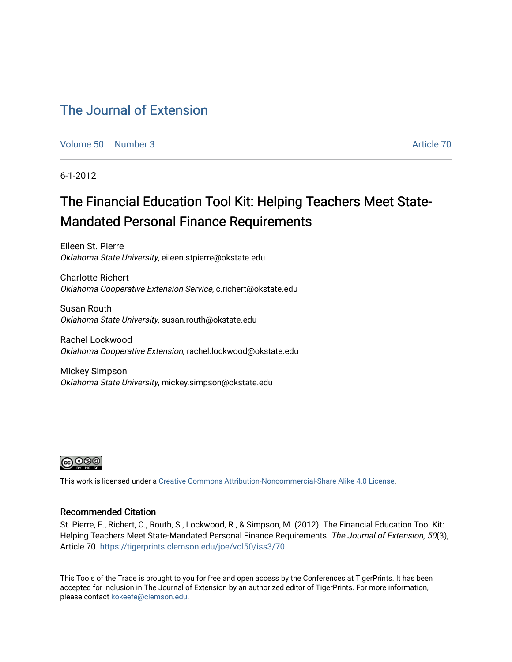# [The Journal of Extension](https://tigerprints.clemson.edu/joe)

[Volume 50](https://tigerprints.clemson.edu/joe/vol50) [Number 3](https://tigerprints.clemson.edu/joe/vol50/iss3) Article 70

6-1-2012

# The Financial Education Tool Kit: Helping Teachers Meet State-Mandated Personal Finance Requirements

Eileen St. Pierre Oklahoma State University, eileen.stpierre@okstate.edu

Charlotte Richert Oklahoma Cooperative Extension Service, c.richert@okstate.edu

Susan Routh Oklahoma State University, susan.routh@okstate.edu

Rachel Lockwood Oklahoma Cooperative Extension, rachel.lockwood@okstate.edu

Mickey Simpson Oklahoma State University, mickey.simpson@okstate.edu



This work is licensed under a [Creative Commons Attribution-Noncommercial-Share Alike 4.0 License.](https://creativecommons.org/licenses/by-nc-sa/4.0/)

#### Recommended Citation

St. Pierre, E., Richert, C., Routh, S., Lockwood, R., & Simpson, M. (2012). The Financial Education Tool Kit: Helping Teachers Meet State-Mandated Personal Finance Requirements. The Journal of Extension, 50(3), Article 70. <https://tigerprints.clemson.edu/joe/vol50/iss3/70>

This Tools of the Trade is brought to you for free and open access by the Conferences at TigerPrints. It has been accepted for inclusion in The Journal of Extension by an authorized editor of TigerPrints. For more information, please contact [kokeefe@clemson.edu](mailto:kokeefe@clemson.edu).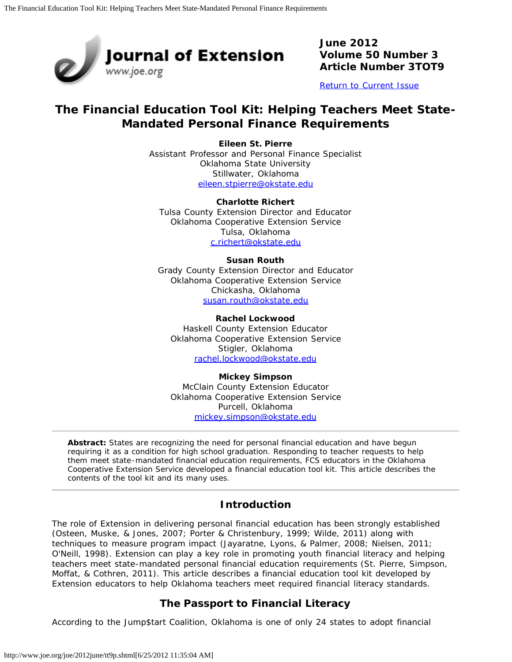

**June 2012 Volume 50 Number 3 Article Number 3TOT9**

[Return to Current Issue](http://www.joe.org/joe/2012june/)

# **The Financial Education Tool Kit: Helping Teachers Meet State-Mandated Personal Finance Requirements**

**Eileen St. Pierre** Assistant Professor and Personal Finance Specialist Oklahoma State University Stillwater, Oklahoma [eileen.stpierre@okstate.edu](mailto:eileen.stpierre@okstate.edu)

**Charlotte Richert** Tulsa County Extension Director and Educator Oklahoma Cooperative Extension Service Tulsa, Oklahoma [c.richert@okstate.edu](mailto:c.richert@okstate.edu)

#### **Susan Routh**

Grady County Extension Director and Educator Oklahoma Cooperative Extension Service Chickasha, Oklahoma [susan.routh@okstate.edu](mailto:susan.routh@okstate.edu)

**Rachel Lockwood** Haskell County Extension Educator Oklahoma Cooperative Extension Service Stigler, Oklahoma [rachel.lockwood@okstate.edu](mailto:rachel.lockwood@okstate.edu)

**Mickey Simpson** McClain County Extension Educator Oklahoma Cooperative Extension Service Purcell, Oklahoma [mickey.simpson@okstate.edu](mailto:mickey.simpson@okstate.edu)

*Abstract: States are recognizing the need for personal financial education and have begun requiring it as a condition for high school graduation. Responding to teacher requests to help them meet state-mandated financial education requirements, FCS educators in the Oklahoma Cooperative Extension Service developed a financial education tool kit. This article describes the contents of the tool kit and its many uses.*

## **Introduction**

The role of Extension in delivering personal financial education has been strongly established (Osteen, Muske, & Jones, 2007; Porter & Christenbury, 1999; Wilde, 2011) along with techniques to measure program impact (Jayaratne, Lyons, & Palmer, 2008; Nielsen, 2011; O'Neill, 1998). Extension can play a key role in promoting youth financial literacy and helping teachers meet state-mandated personal financial education requirements (St. Pierre, Simpson, Moffat, & Cothren, 2011). This article describes a financial education tool kit developed by Extension educators to help Oklahoma teachers meet required financial literacy standards.

## **The Passport to Financial Literacy**

According to the Jump\$tart Coalition, Oklahoma is one of only 24 states to adopt financial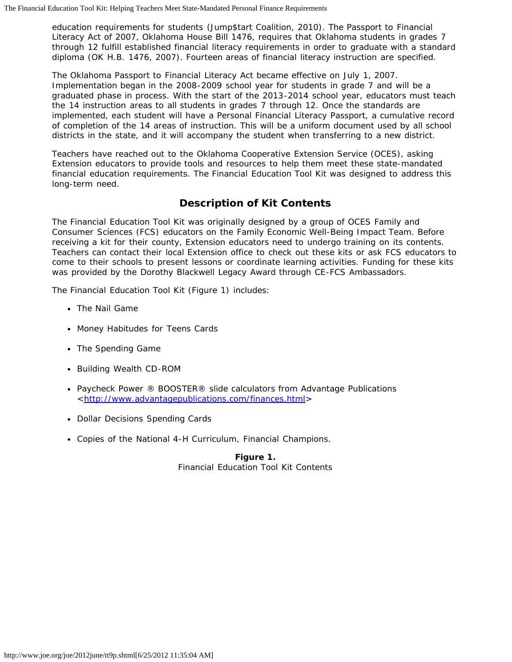education requirements for students (Jump\$tart Coalition, 2010). The Passport to Financial Literacy Act of 2007, Oklahoma House Bill 1476, requires that Oklahoma students in grades 7 through 12 fulfill established financial literacy requirements in order to graduate with a standard diploma (OK H.B. 1476, 2007). Fourteen areas of financial literacy instruction are specified.

The Oklahoma Passport to Financial Literacy Act became effective on July 1, 2007. Implementation began in the 2008-2009 school year for students in grade 7 and will be a graduated phase in process. With the start of the 2013-2014 school year, educators must teach the 14 instruction areas to all students in grades 7 through 12. Once the standards are implemented, each student will have a Personal Financial Literacy Passport, a cumulative record of completion of the 14 areas of instruction. This will be a uniform document used by all school districts in the state, and it will accompany the student when transferring to a new district.

Teachers have reached out to the Oklahoma Cooperative Extension Service (OCES), asking Extension educators to provide tools and resources to help them meet these state-mandated financial education requirements. The Financial Education Tool Kit was designed to address this long-term need.

## **Description of Kit Contents**

The Financial Education Tool Kit was originally designed by a group of OCES Family and Consumer Sciences (FCS) educators on the Family Economic Well-Being Impact Team. Before receiving a kit for their county, Extension educators need to undergo training on its contents. Teachers can contact their local Extension office to check out these kits or ask FCS educators to come to their schools to present lessons or coordinate learning activities. Funding for these kits was provided by the Dorothy Blackwell Legacy Award through CE-FCS Ambassadors.

The Financial Education Tool Kit (Figure 1) includes:

- The Nail Game
- Money Habitudes for Teens Cards
- The Spending Game
- *Building Wealth* CD-ROM
- Paycheck Power ® BOOSTER® slide calculators from Advantage Publications <[http://www.advantagepublications.com/finances.html>](http://www.advantagepublications.com/finances.html)
- Dollar Decisions Spending Cards
- Copies of the National 4-H Curriculum, Financial Champions.

**Figure 1.** Financial Education Tool Kit Contents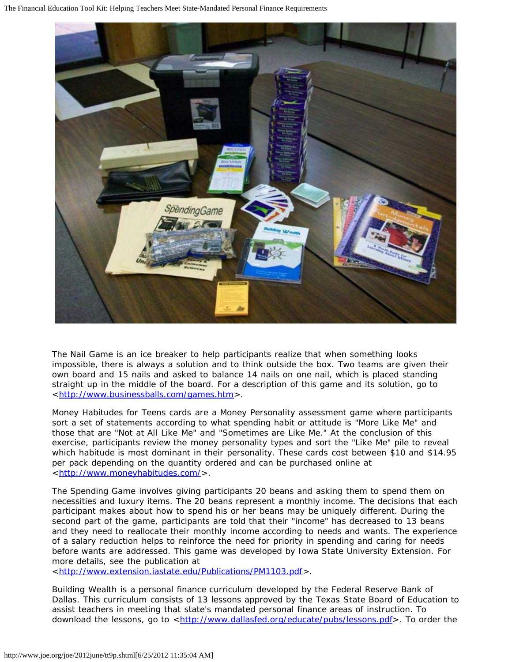The Financial Education Tool Kit: Helping Teachers Meet State-Mandated Personal Finance Requirements



The Nail Game is an ice breaker to help participants realize that when something looks impossible, there is always a solution and to think outside the box. Two teams are given their own board and 15 nails and asked to balance 14 nails on one nail, which is placed standing straight up in the middle of the board. For a description of this game and its solution, go to <[http://www.businessballs.com/games.htm>](http://www.businessballs.com/games.htm).

Money Habitudes for Teens cards are a Money Personality assessment game where participants sort a set of statements according to what spending habit or attitude is "More Like Me" and those that are "Not at All Like Me" and "Sometimes are Like Me." At the conclusion of this exercise, participants review the money personality types and sort the "Like Me" pile to reveal which habitude is most dominant in their personality. These cards cost between \$10 and \$14.95 per pack depending on the quantity ordered and can be purchased online at <[http://www.moneyhabitudes.com/>](http://www.moneyhabitudes.com/).

The Spending Game involves giving participants 20 beans and asking them to spend them on necessities and luxury items. The 20 beans represent a monthly income. The decisions that each participant makes about how to spend his or her beans may be uniquely different. During the second part of the game, participants are told that their "income" has decreased to 13 beans and they need to reallocate their monthly income according to needs and wants. The experience of a salary reduction helps to reinforce the need for priority in spending and caring for needs before wants are addressed. This game was developed by Iowa State University Extension. For more details, see the publication at

<[http://www.extension.iastate.edu/Publications/PM1103.pdf>](http://www.extension.iastate.edu/Publications/PM1103.pdf).

Building Wealth is a personal finance curriculum developed by the Federal Reserve Bank of Dallas. This curriculum consists of 13 lessons approved by the Texas State Board of Education to assist teachers in meeting that state's mandated personal finance areas of instruction. To download the lessons, go to <<http://www.dallasfed.org/educate/pubs/lessons.pdf>>. To order the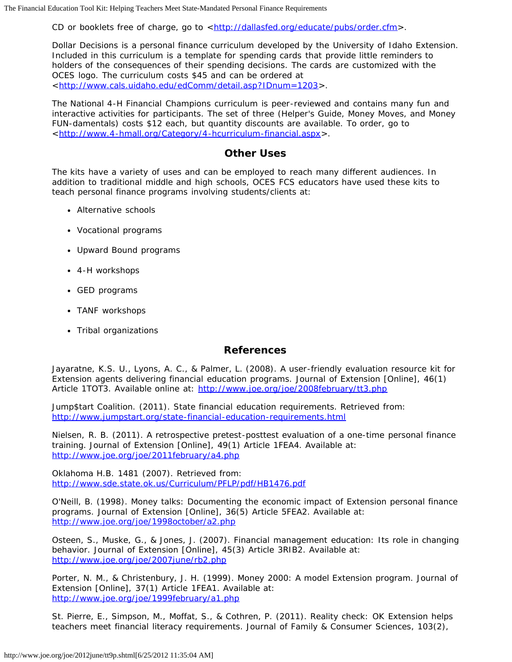CD or booklets free of charge, go to <[http://dallasfed.org/educate/pubs/order.cfm>](http://dallasfed.org/educate/pubs/order.cfm).

Dollar Decisions is a personal finance curriculum developed by the University of Idaho Extension. Included in this curriculum is a template for spending cards that provide little reminders to holders of the consequences of their spending decisions. The cards are customized with the OCES logo. The curriculum costs \$45 and can be ordered at <[http://www.cals.uidaho.edu/edComm/detail.asp?IDnum=1203>](http://www.cals.uidaho.edu/edComm/detail.asp?IDnum=1203).

The National 4-H Financial Champions curriculum is peer-reviewed and contains many fun and interactive activities for participants. The set of three (Helper's Guide, Money Moves, and Money FUN-damentals) costs \$12 each, but quantity discounts are available. To order, go to <[http://www.4-hmall.org/Category/4-hcurriculum-financial.aspx>](http://www.4-hmall.org/Category/4-hcurriculum-financial.aspx).

### **Other Uses**

The kits have a variety of uses and can be employed to reach many different audiences. In addition to traditional middle and high schools, OCES FCS educators have used these kits to teach personal finance programs involving students/clients at:

- Alternative schools
- Vocational programs
- Upward Bound programs
- 4-H workshops
- GED programs
- TANF workshops
- Tribal organizations

#### **References**

Jayaratne, K.S. U., Lyons, A. C., & Palmer, L. (2008). A user-friendly evaluation resource kit for Extension agents delivering financial education programs. *Journal of Extension* [Online], 46(1) Article 1TOT3. Available online at: <http://www.joe.org/joe/2008february/tt3.php>

Jump\$tart Coalition. (2011). *State financial education requirements*. Retrieved from: <http://www.jumpstart.org/state-financial-education-requirements.html>

Nielsen, R. B. (2011). A retrospective pretest-posttest evaluation of a one-time personal finance training. *Journal of Extension* [Online], 49(1) Article 1FEA4. Available at: <http://www.joe.org/joe/2011february/a4.php>

Oklahoma H.B. 1481 (2007). Retrieved from: <http://www.sde.state.ok.us/Curriculum/PFLP/pdf/HB1476.pdf>

O'Neill, B. (1998). Money talks: Documenting the economic impact of Extension personal finance programs. *Journal of Extension* [Online], 36(5) Article 5FEA2. Available at: <http://www.joe.org/joe/1998october/a2.php>

Osteen, S., Muske, G., & Jones, J. (2007). Financial management education: Its role in changing behavior. *Journal of Extension* [Online], 45(3) Article 3RIB2. Available at: <http://www.joe.org/joe/2007june/rb2.php>

Porter, N. M., & Christenbury, J. H. (1999). Money 2000: A model Extension program. *Journal of Extension* [Online], 37(1) Article 1FEA1. Available at: <http://www.joe.org/joe/1999february/a1.php>

St. Pierre, E., Simpson, M., Moffat, S., & Cothren, P. (2011). Reality check: OK Extension helps teachers meet financial literacy requirements. *Journal of Family & Consumer Sciences*, 103(2),